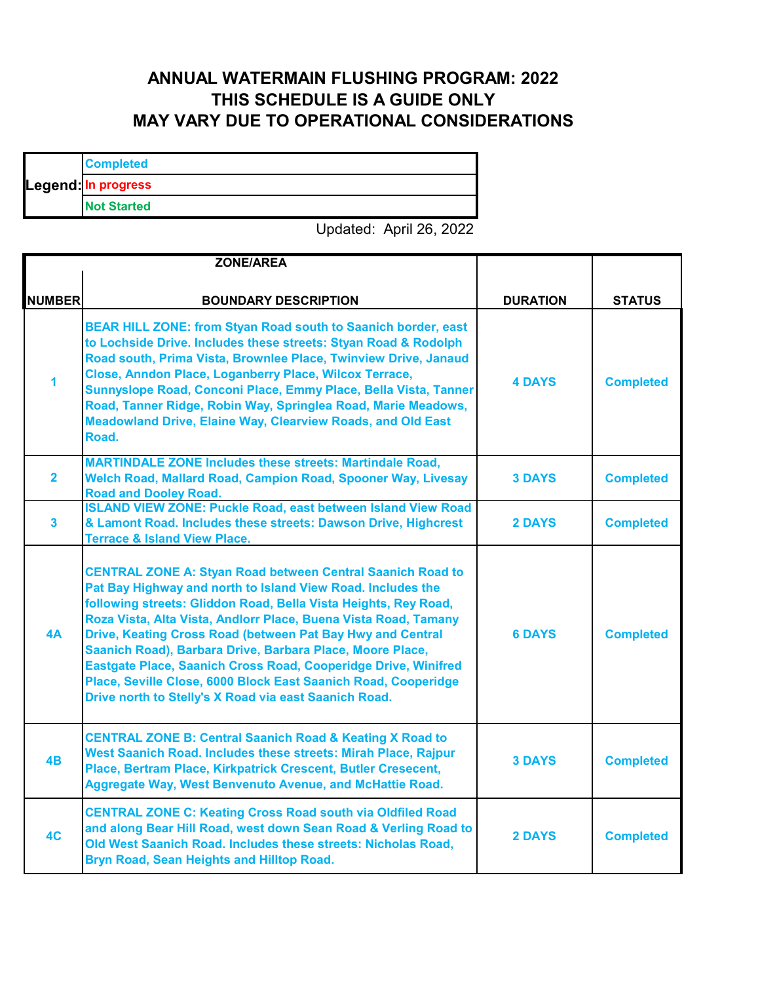## **ANNUAL WATERMAIN FLUSHING PROGRAM: 2022 THIS SCHEDULE IS A GUIDE ONLY MAY VARY DUE TO OPERATIONAL CONSIDERATIONS**

|  | <b>Completed</b>    |
|--|---------------------|
|  | Legend: In progress |
|  | <b>Not Started</b>  |

Updated: April 26, 2022

|                         | <b>ZONE/AREA</b>                                                                                                                                                                                                                                                                                                                                                                                                                                                                                                                                                                               |                 |                  |
|-------------------------|------------------------------------------------------------------------------------------------------------------------------------------------------------------------------------------------------------------------------------------------------------------------------------------------------------------------------------------------------------------------------------------------------------------------------------------------------------------------------------------------------------------------------------------------------------------------------------------------|-----------------|------------------|
| <b>NUMBER</b>           | <b>BOUNDARY DESCRIPTION</b>                                                                                                                                                                                                                                                                                                                                                                                                                                                                                                                                                                    | <b>DURATION</b> | <b>STATUS</b>    |
| 1                       | BEAR HILL ZONE: from Styan Road south to Saanich border, east<br>to Lochside Drive. Includes these streets: Styan Road & Rodolph<br>Road south, Prima Vista, Brownlee Place, Twinview Drive, Janaud<br>Close, Anndon Place, Loganberry Place, Wilcox Terrace,<br>Sunnyslope Road, Conconi Place, Emmy Place, Bella Vista, Tanner<br>Road, Tanner Ridge, Robin Way, Springlea Road, Marie Meadows,<br><b>Meadowland Drive, Elaine Way, Clearview Roads, and Old East</b><br>Road.                                                                                                               | <b>4 DAYS</b>   | <b>Completed</b> |
| $\overline{\mathbf{2}}$ | <b>MARTINDALE ZONE Includes these streets: Martindale Road,</b><br>Welch Road, Mallard Road, Campion Road, Spooner Way, Livesay<br><b>Road and Dooley Road.</b>                                                                                                                                                                                                                                                                                                                                                                                                                                | <b>3 DAYS</b>   | <b>Completed</b> |
| $\overline{\mathbf{3}}$ | <b>ISLAND VIEW ZONE: Puckle Road, east between Island View Road</b><br>& Lamont Road. Includes these streets: Dawson Drive, Highcrest<br><b>Terrace &amp; Island View Place.</b>                                                                                                                                                                                                                                                                                                                                                                                                               | <b>2 DAYS</b>   | <b>Completed</b> |
| 4A                      | <b>CENTRAL ZONE A: Styan Road between Central Saanich Road to</b><br>Pat Bay Highway and north to Island View Road. Includes the<br>following streets: Gliddon Road, Bella Vista Heights, Rey Road,<br>Roza Vista, Alta Vista, Andlorr Place, Buena Vista Road, Tamany<br>Drive, Keating Cross Road (between Pat Bay Hwy and Central<br>Saanich Road), Barbara Drive, Barbara Place, Moore Place,<br>Eastgate Place, Saanich Cross Road, Cooperidge Drive, Winifred<br>Place, Seville Close, 6000 Block East Saanich Road, Cooperidge<br>Drive north to Stelly's X Road via east Saanich Road. | <b>6 DAYS</b>   | <b>Completed</b> |
| 4B                      | <b>CENTRAL ZONE B: Central Saanich Road &amp; Keating X Road to</b><br>West Saanich Road. Includes these streets: Mirah Place, Rajpur<br>Place, Bertram Place, Kirkpatrick Crescent, Butler Cresecent,<br><b>Aggregate Way, West Benvenuto Avenue, and McHattie Road.</b>                                                                                                                                                                                                                                                                                                                      | <b>3 DAYS</b>   | <b>Completed</b> |
| 4C                      | <b>CENTRAL ZONE C: Keating Cross Road south via Oldfiled Road</b><br>and along Bear Hill Road, west down Sean Road & Verling Road to<br>Old West Saanich Road. Includes these streets: Nicholas Road,<br>Bryn Road, Sean Heights and Hilltop Road.                                                                                                                                                                                                                                                                                                                                             | <b>2 DAYS</b>   | <b>Completed</b> |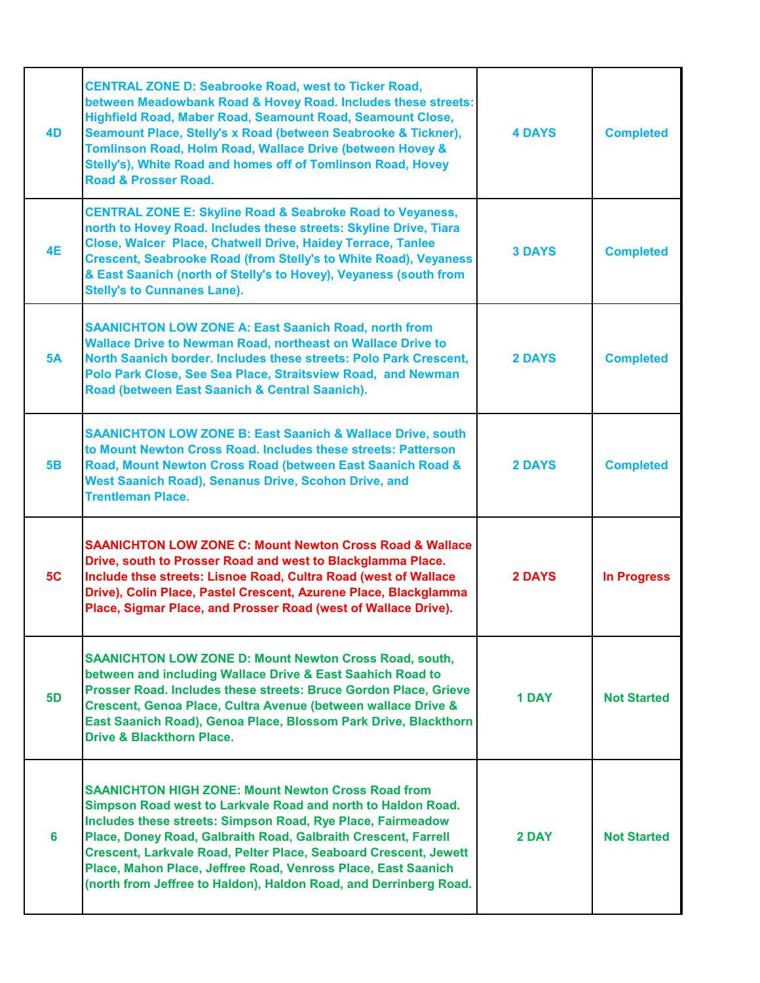| 4D        | <b>CENTRAL ZONE D: Seabrooke Road, west to Ticker Road,</b><br>between Meadowbank Road & Hovey Road. Includes these streets:<br>Highfield Road, Maber Road, Seamount Road, Seamount Close,<br>Seamount Place, Stelly's x Road (between Seabrooke & Tickner),<br>Tomlinson Road, Holm Road, Wallace Drive (between Hovey &<br>Stelly's), White Road and homes off of Tomlinson Road, Hovey<br><b>Road &amp; Prosser Road.</b>                                         | <b>4 DAYS</b> | <b>Completed</b>   |
|-----------|----------------------------------------------------------------------------------------------------------------------------------------------------------------------------------------------------------------------------------------------------------------------------------------------------------------------------------------------------------------------------------------------------------------------------------------------------------------------|---------------|--------------------|
| <b>4E</b> | <b>CENTRAL ZONE E: Skyline Road &amp; Seabroke Road to Veyaness,</b><br>north to Hovey Road. Includes these streets: Skyline Drive, Tiara<br>Close, Walcer Place, Chatwell Drive, Haidey Terrace, Tanlee<br><b>Crescent, Seabrooke Road (from Stelly's to White Road), Veyaness</b><br>& East Saanich (north of Stelly's to Hovey), Veyaness (south from<br><b>Stelly's to Cunnanes Lane).</b>                                                                       | <b>3 DAYS</b> | <b>Completed</b>   |
| 5A        | <b>SAANICHTON LOW ZONE A: East Saanich Road, north from</b><br><b>Wallace Drive to Newman Road, northeast on Wallace Drive to</b><br>North Saanich border. Includes these streets: Polo Park Crescent,<br>Polo Park Close, See Sea Place, Straitsview Road, and Newman<br>Road (between East Saanich & Central Saanich).                                                                                                                                             | <b>2 DAYS</b> | <b>Completed</b>   |
| <b>5B</b> | <b>SAANICHTON LOW ZONE B: East Saanich &amp; Wallace Drive, south</b><br>to Mount Newton Cross Road. Includes these streets: Patterson<br>Road, Mount Newton Cross Road (between East Saanich Road &<br>West Saanich Road), Senanus Drive, Scohon Drive, and<br><b>Trentleman Place.</b>                                                                                                                                                                             | <b>2 DAYS</b> | <b>Completed</b>   |
| 5C        | <b>SAANICHTON LOW ZONE C: Mount Newton Cross Road &amp; Wallace</b><br>Drive, south to Prosser Road and west to Blackglamma Place.<br>Include thse streets: Lisnoe Road, Cultra Road (west of Wallace<br>Drive), Colin Place, Pastel Crescent, Azurene Place, Blackglamma<br>Place, Sigmar Place, and Prosser Road (west of Wallace Drive).                                                                                                                          | <b>2 DAYS</b> | <b>In Progress</b> |
| <b>5D</b> | <b>SAANICHTON LOW ZONE D: Mount Newton Cross Road, south,</b><br>between and including Wallace Drive & East Saahich Road to<br>Prosser Road. Includes these streets: Bruce Gordon Place, Grieve<br>Crescent, Genoa Place, Cultra Avenue (between wallace Drive &<br>East Saanich Road), Genoa Place, Blossom Park Drive, Blackthorn<br><b>Drive &amp; Blackthorn Place.</b>                                                                                          | 1 DAY         | <b>Not Started</b> |
| 6         | <b>SAANICHTON HIGH ZONE: Mount Newton Cross Road from</b><br>Simpson Road west to Larkvale Road and north to Haldon Road.<br>Includes these streets: Simpson Road, Rye Place, Fairmeadow<br>Place, Doney Road, Galbraith Road, Galbraith Crescent, Farrell<br>Crescent, Larkvale Road, Pelter Place, Seaboard Crescent, Jewett<br>Place, Mahon Place, Jeffree Road, Venross Place, East Saanich<br>(north from Jeffree to Haldon), Haldon Road, and Derrinberg Road. | 2 DAY         | <b>Not Started</b> |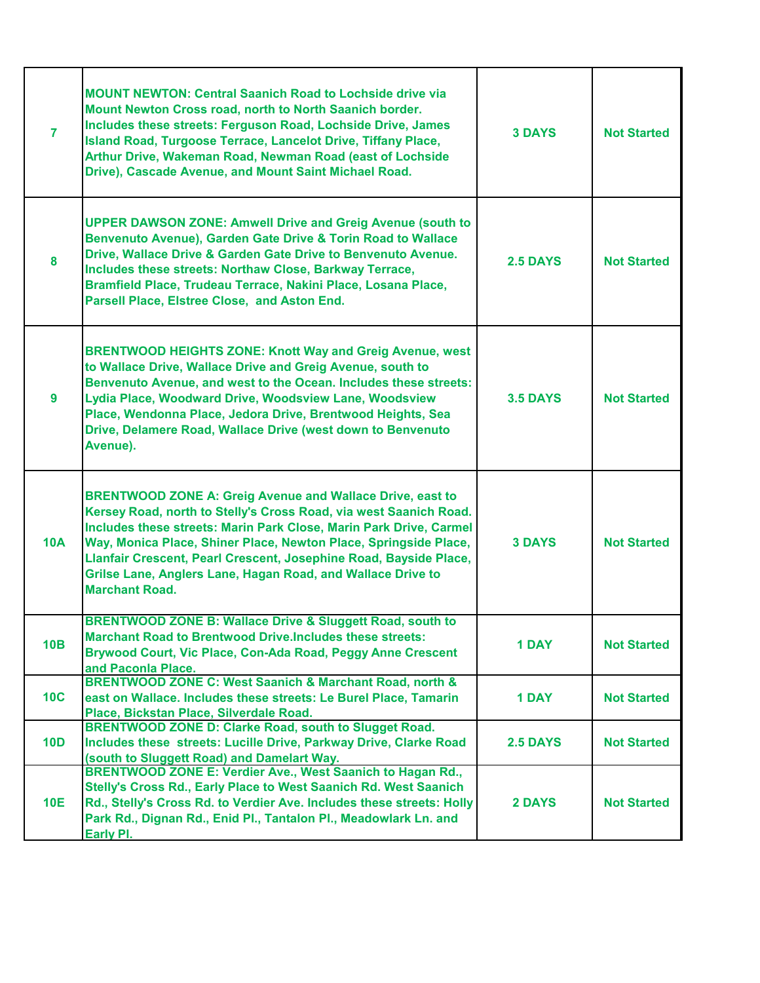| $\overline{7}$  | <b>MOUNT NEWTON: Central Saanich Road to Lochside drive via</b><br>Mount Newton Cross road, north to North Saanich border.<br>Includes these streets: Ferguson Road, Lochside Drive, James<br>Island Road, Turgoose Terrace, Lancelot Drive, Tiffany Place,<br>Arthur Drive, Wakeman Road, Newman Road (east of Lochside<br>Drive), Cascade Avenue, and Mount Saint Michael Road.                                                            | <b>3 DAYS</b>   | <b>Not Started</b> |
|-----------------|----------------------------------------------------------------------------------------------------------------------------------------------------------------------------------------------------------------------------------------------------------------------------------------------------------------------------------------------------------------------------------------------------------------------------------------------|-----------------|--------------------|
| 8               | <b>UPPER DAWSON ZONE: Amwell Drive and Greig Avenue (south to</b><br>Benvenuto Avenue), Garden Gate Drive & Torin Road to Wallace<br>Drive, Wallace Drive & Garden Gate Drive to Benvenuto Avenue.<br>Includes these streets: Northaw Close, Barkway Terrace,<br>Bramfield Place, Trudeau Terrace, Nakini Place, Losana Place,<br>Parsell Place, Elstree Close, and Aston End.                                                               | <b>2.5 DAYS</b> | <b>Not Started</b> |
| 9               | <b>BRENTWOOD HEIGHTS ZONE: Knott Way and Greig Avenue, west</b><br>to Wallace Drive, Wallace Drive and Greig Avenue, south to<br>Benvenuto Avenue, and west to the Ocean. Includes these streets:<br>Lydia Place, Woodward Drive, Woodsview Lane, Woodsview<br>Place, Wendonna Place, Jedora Drive, Brentwood Heights, Sea<br>Drive, Delamere Road, Wallace Drive (west down to Benvenuto<br>Avenue).                                        | <b>3.5 DAYS</b> | <b>Not Started</b> |
| <b>10A</b>      | <b>BRENTWOOD ZONE A: Greig Avenue and Wallace Drive, east to</b><br>Kersey Road, north to Stelly's Cross Road, via west Saanich Road.<br>Includes these streets: Marin Park Close, Marin Park Drive, Carmel<br>Way, Monica Place, Shiner Place, Newton Place, Springside Place,<br>Llanfair Crescent, Pearl Crescent, Josephine Road, Bayside Place,<br>Grilse Lane, Anglers Lane, Hagan Road, and Wallace Drive to<br><b>Marchant Road.</b> | <b>3 DAYS</b>   | <b>Not Started</b> |
| 10B             | <b>BRENTWOOD ZONE B: Wallace Drive &amp; Sluggett Road, south to</b><br><b>Marchant Road to Brentwood Drive.Includes these streets:</b><br>Brywood Court, Vic Place, Con-Ada Road, Peggy Anne Crescent<br>and Paconla Place.                                                                                                                                                                                                                 | <b>1 DAY</b>    | <b>Not Started</b> |
| 10C             | BRENTWOOD ZONE C: West Saanich & Marchant Road, north &<br>east on Wallace. Includes these streets: Le Burel Place, Tamarin<br>Place, Bickstan Place, Silverdale Road.                                                                                                                                                                                                                                                                       | <b>1 DAY</b>    | <b>Not Started</b> |
| 10 <sub>D</sub> | <b>BRENTWOOD ZONE D: Clarke Road, south to Slugget Road.</b><br>Includes these streets: Lucille Drive, Parkway Drive, Clarke Road<br>(south to Sluggett Road) and Damelart Way.                                                                                                                                                                                                                                                              | <b>2.5 DAYS</b> | <b>Not Started</b> |
| <b>10E</b>      | BRENTWOOD ZONE E: Verdier Ave., West Saanich to Hagan Rd.,<br>Stelly's Cross Rd., Early Place to West Saanich Rd. West Saanich<br>Rd., Stelly's Cross Rd. to Verdier Ave. Includes these streets: Holly<br>Park Rd., Dignan Rd., Enid Pl., Tantalon Pl., Meadowlark Ln. and<br>Early PI.                                                                                                                                                     | <b>2 DAYS</b>   | <b>Not Started</b> |